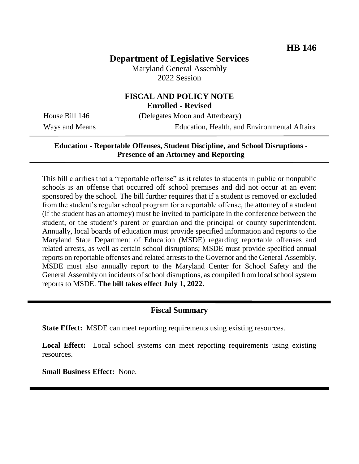# **Department of Legislative Services**

Maryland General Assembly 2022 Session

# **FISCAL AND POLICY NOTE**

**Enrolled - Revised**

House Bill 146 (Delegates Moon and Atterbeary)

Ways and Means Education, Health, and Environmental Affairs

#### **Education - Reportable Offenses, Student Discipline, and School Disruptions - Presence of an Attorney and Reporting**

This bill clarifies that a "reportable offense" as it relates to students in public or nonpublic schools is an offense that occurred off school premises and did not occur at an event sponsored by the school. The bill further requires that if a student is removed or excluded from the student's regular school program for a reportable offense, the attorney of a student (if the student has an attorney) must be invited to participate in the conference between the student, or the student's parent or guardian and the principal or county superintendent. Annually, local boards of education must provide specified information and reports to the Maryland State Department of Education (MSDE) regarding reportable offenses and related arrests, as well as certain school disruptions; MSDE must provide specified annual reports on reportable offenses and related arrests to the Governor and the General Assembly. MSDE must also annually report to the Maryland Center for School Safety and the General Assembly on incidents of school disruptions, as compiled from local school system reports to MSDE. **The bill takes effect July 1, 2022.**

## **Fiscal Summary**

**State Effect:** MSDE can meet reporting requirements using existing resources.

**Local Effect:** Local school systems can meet reporting requirements using existing resources.

**Small Business Effect:** None.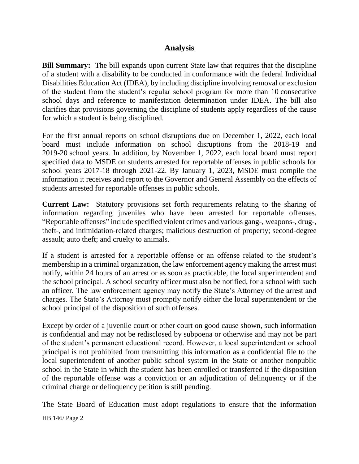#### **Analysis**

**Bill Summary:** The bill expands upon current State law that requires that the discipline of a student with a disability to be conducted in conformance with the federal Individual Disabilities Education Act (IDEA), by including discipline involving removal or exclusion of the student from the student's regular school program for more than 10 consecutive school days and reference to manifestation determination under IDEA. The bill also clarifies that provisions governing the discipline of students apply regardless of the cause for which a student is being disciplined.

For the first annual reports on school disruptions due on December 1, 2022, each local board must include information on school disruptions from the 2018-19 and 2019-20 school years. In addition, by November 1, 2022, each local board must report specified data to MSDE on students arrested for reportable offenses in public schools for school years 2017-18 through 2021-22. By January 1, 2023, MSDE must compile the information it receives and report to the Governor and General Assembly on the effects of students arrested for reportable offenses in public schools.

**Current Law:** Statutory provisions set forth requirements relating to the sharing of information regarding juveniles who have been arrested for reportable offenses. "Reportable offenses" include specified violent crimes and various gang-, weapons-, drug-, theft-, and intimidation-related charges; malicious destruction of property; second-degree assault; auto theft; and cruelty to animals.

If a student is arrested for a reportable offense or an offense related to the student's membership in a criminal organization, the law enforcement agency making the arrest must notify, within 24 hours of an arrest or as soon as practicable, the local superintendent and the school principal. A school security officer must also be notified, for a school with such an officer. The law enforcement agency may notify the State's Attorney of the arrest and charges. The State's Attorney must promptly notify either the local superintendent or the school principal of the disposition of such offenses.

Except by order of a juvenile court or other court on good cause shown, such information is confidential and may not be redisclosed by subpoena or otherwise and may not be part of the student's permanent educational record. However, a local superintendent or school principal is not prohibited from transmitting this information as a confidential file to the local superintendent of another public school system in the State or another nonpublic school in the State in which the student has been enrolled or transferred if the disposition of the reportable offense was a conviction or an adjudication of delinquency or if the criminal charge or delinquency petition is still pending.

HB 146/ Page 2 The State Board of Education must adopt regulations to ensure that the information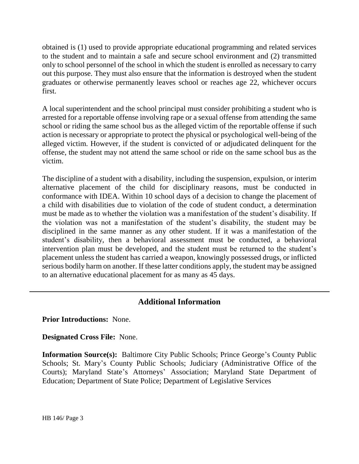obtained is (1) used to provide appropriate educational programming and related services to the student and to maintain a safe and secure school environment and (2) transmitted only to school personnel of the school in which the student is enrolled as necessary to carry out this purpose. They must also ensure that the information is destroyed when the student graduates or otherwise permanently leaves school or reaches age 22, whichever occurs first.

A local superintendent and the school principal must consider prohibiting a student who is arrested for a reportable offense involving rape or a sexual offense from attending the same school or riding the same school bus as the alleged victim of the reportable offense if such action is necessary or appropriate to protect the physical or psychological well-being of the alleged victim. However, if the student is convicted of or adjudicated delinquent for the offense, the student may not attend the same school or ride on the same school bus as the victim.

The discipline of a student with a disability, including the suspension, expulsion, or interim alternative placement of the child for disciplinary reasons, must be conducted in conformance with IDEA. Within 10 school days of a decision to change the placement of a child with disabilities due to violation of the code of student conduct, a determination must be made as to whether the violation was a manifestation of the student's disability. If the violation was not a manifestation of the student's disability, the student may be disciplined in the same manner as any other student. If it was a manifestation of the student's disability, then a behavioral assessment must be conducted, a behavioral intervention plan must be developed, and the student must be returned to the student's placement unless the student has carried a weapon, knowingly possessed drugs, or inflicted serious bodily harm on another. If these latter conditions apply, the student may be assigned to an alternative educational placement for as many as 45 days.

## **Additional Information**

**Prior Introductions:** None.

**Designated Cross File:** None.

**Information Source(s):** Baltimore City Public Schools; Prince George's County Public Schools; St. Mary's County Public Schools; Judiciary (Administrative Office of the Courts); Maryland State's Attorneys' Association; Maryland State Department of Education; Department of State Police; Department of Legislative Services